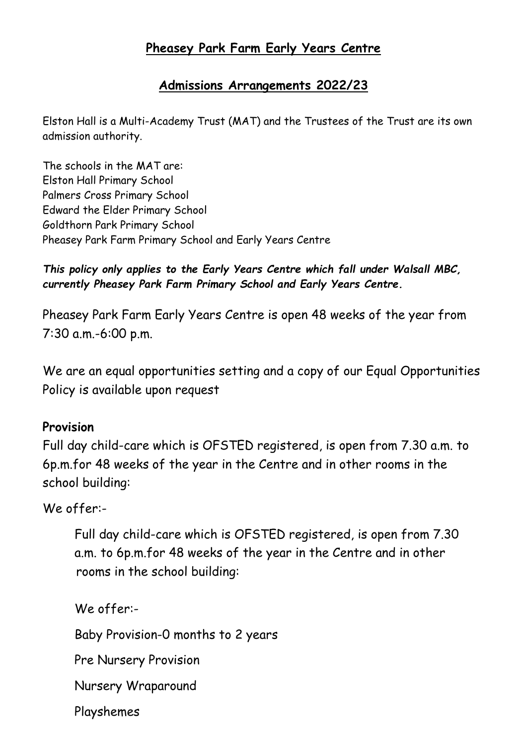### **Pheasey Park Farm Early Years Centre**

#### **Admissions Arrangements 2022/23**

Elston Hall is a Multi-Academy Trust (MAT) and the Trustees of the Trust are its own admission authority.

The schools in the MAT are: Elston Hall Primary School Palmers Cross Primary School Edward the Elder Primary School Goldthorn Park Primary School Pheasey Park Farm Primary School and Early Years Centre

#### *This policy only applies to the Early Years Centre which fall under Walsall MBC, currently Pheasey Park Farm Primary School and Early Years Centre.*

Pheasey Park Farm Early Years Centre is open 48 weeks of the year from 7:30 a.m.-6:00 p.m.

We are an equal opportunities setting and a copy of our Equal Opportunities Policy is available upon request

#### **Provision**

Full day child-care which is OFSTED registered, is open from 7.30 a.m. to 6p.m.for 48 weeks of the year in the Centre and in other rooms in the school building:

#### We offer:-

Full day child-care which is OFSTED registered, is open from 7.30 a.m. to 6p.m.for 48 weeks of the year in the Centre and in other rooms in the school building:

We offer:-

Baby Provision-0 months to 2 years

Pre Nursery Provision

Nursery Wraparound

Playshemes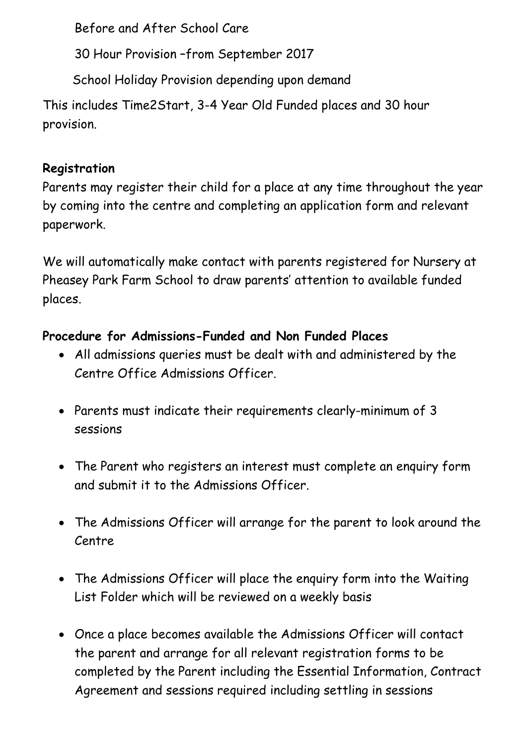Before and After School Care

30 Hour Provision –from September 2017

School Holiday Provision depending upon demand

This includes Time2Start, 3-4 Year Old Funded places and 30 hour provision.

## **Registration**

Parents may register their child for a place at any time throughout the year by coming into the centre and completing an application form and relevant paperwork.

We will automatically make contact with parents registered for Nursery at Pheasey Park Farm School to draw parents' attention to available funded places.

# **Procedure for Admissions-Funded and Non Funded Places**

- All admissions queries must be dealt with and administered by the Centre Office Admissions Officer.
- Parents must indicate their requirements clearly-minimum of 3 sessions
- The Parent who registers an interest must complete an enquiry form and submit it to the Admissions Officer.
- The Admissions Officer will arrange for the parent to look around the Centre
- The Admissions Officer will place the enquiry form into the Waiting List Folder which will be reviewed on a weekly basis
- Once a place becomes available the Admissions Officer will contact the parent and arrange for all relevant registration forms to be completed by the Parent including the Essential Information, Contract Agreement and sessions required including settling in sessions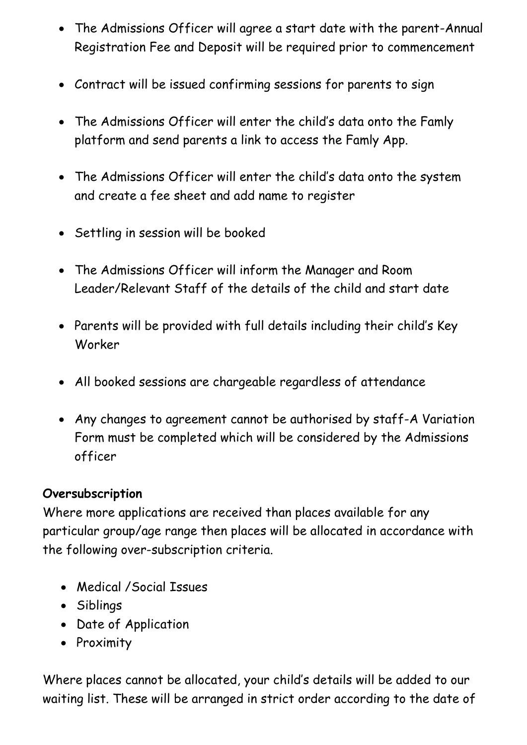- The Admissions Officer will agree a start date with the parent-Annual Registration Fee and Deposit will be required prior to commencement
- Contract will be issued confirming sessions for parents to sign
- The Admissions Officer will enter the child's data onto the Famly platform and send parents a link to access the Famly App.
- The Admissions Officer will enter the child's data onto the system and create a fee sheet and add name to register
- Settling in session will be booked
- The Admissions Officer will inform the Manager and Room Leader/Relevant Staff of the details of the child and start date
- Parents will be provided with full details including their child's Key Worker
- All booked sessions are chargeable regardless of attendance
- Any changes to agreement cannot be authorised by staff-A Variation Form must be completed which will be considered by the Admissions officer

### **Oversubscription**

Where more applications are received than places available for any particular group/age range then places will be allocated in accordance with the following over-subscription criteria.

- Medical /Social Issues
- Siblings
- Date of Application
- Proximity

Where places cannot be allocated, your child's details will be added to our waiting list. These will be arranged in strict order according to the date of